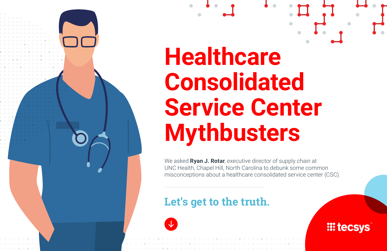

We asked **Ryan J. Rotar**, executive director of supply chain at UNC Health, Chapel Hill, North Carolina to debunk some common misconceptions about a healthcare consolidated service center (CSC).

## **Let's get to the truth.**



**III tecsys**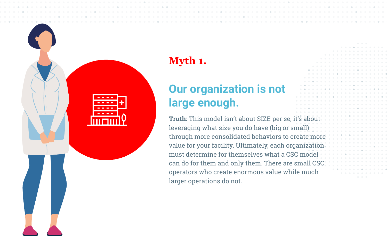

# **Myth 1.**

# **Our organization is not large enough.**

**Truth:** This model isn't about SIZE per se, it's about leveraging what size you do have (big or small) through more consolidated behaviors to create more value for your facility. Ultimately, each organization must determine for themselves what a CSC model can do for them and only them. There are small CSC operators who create enormous value while much larger operations do not.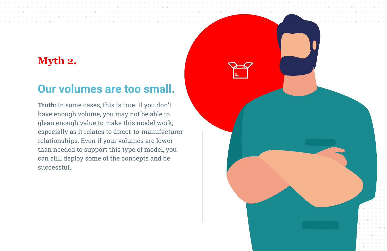### **Myth 2.**

### **Our volumes are too small.**

**Truth:** In some cases, this is true. If you don't have enough volume, you may not be able to glean enough value to make this model work; especially as it relates to direct-to-manufacturer relationships. Even if your volumes are lower than needed to support this type of model, you can still deploy some of the concepts and be successful..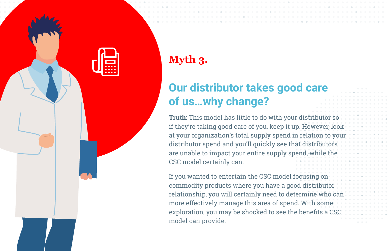

## **Myth 3.**

# **Our distributor takes good care of us…why change?**

**Truth:** This model has little to do with your distributor so if they're taking good care of you, keep it up. However, look at your organization's total supply spend in relation to your distributor spend and you'll quickly see that distributors are unable to impact your entire supply spend, while the CSC model certainly can.

If you wanted to entertain the CSC model focusing on commodity products where you have a good distributor relationship, you will certainly need to determine who can more effectively manage this area of spend. With some exploration, you may be shocked to see the benefits a CSC model can provide.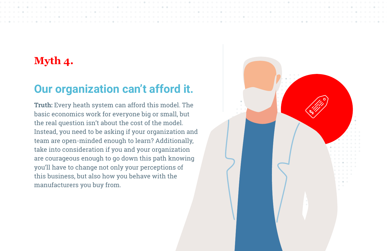### **Myth 4.**

## **Our organization can't afford it.**

**Truth:** Every heath system can afford this model. The basic economics work for everyone big or small, but the real question isn't about the cost of the model. Instead, you need to be asking if your organization and team are open-minded enough to learn? Additionally, take into consideration if you and your organization are courageous enough to go down this path knowing you'll have to change not only your perceptions of this business, but also how you behave with the manufacturers you buy from.

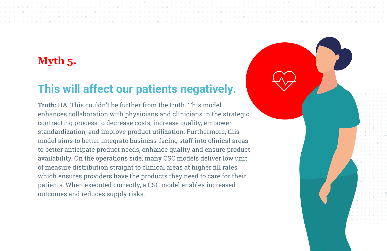### **Myth 5.**

# **This will affect our patients negatively.**

**Truth:** HA! This couldn't be further from the truth. This model enhances collaboration with physicians and clinicians in the strategic contracting process to decrease costs, increase quality, empower standardization, and improve product utilization. Furthermore, this model aims to better integrate business-facing staff into clinical areas to better anticipate product needs, enhance quality and ensure product availability. On the operations side, many CSC models deliver low unit of measure distribution straight to clinical areas at higher fill rates which ensures providers have the products they need to care for their patients. When executed correctly, a CSC model enables increased outcomes and reduces supply risks.